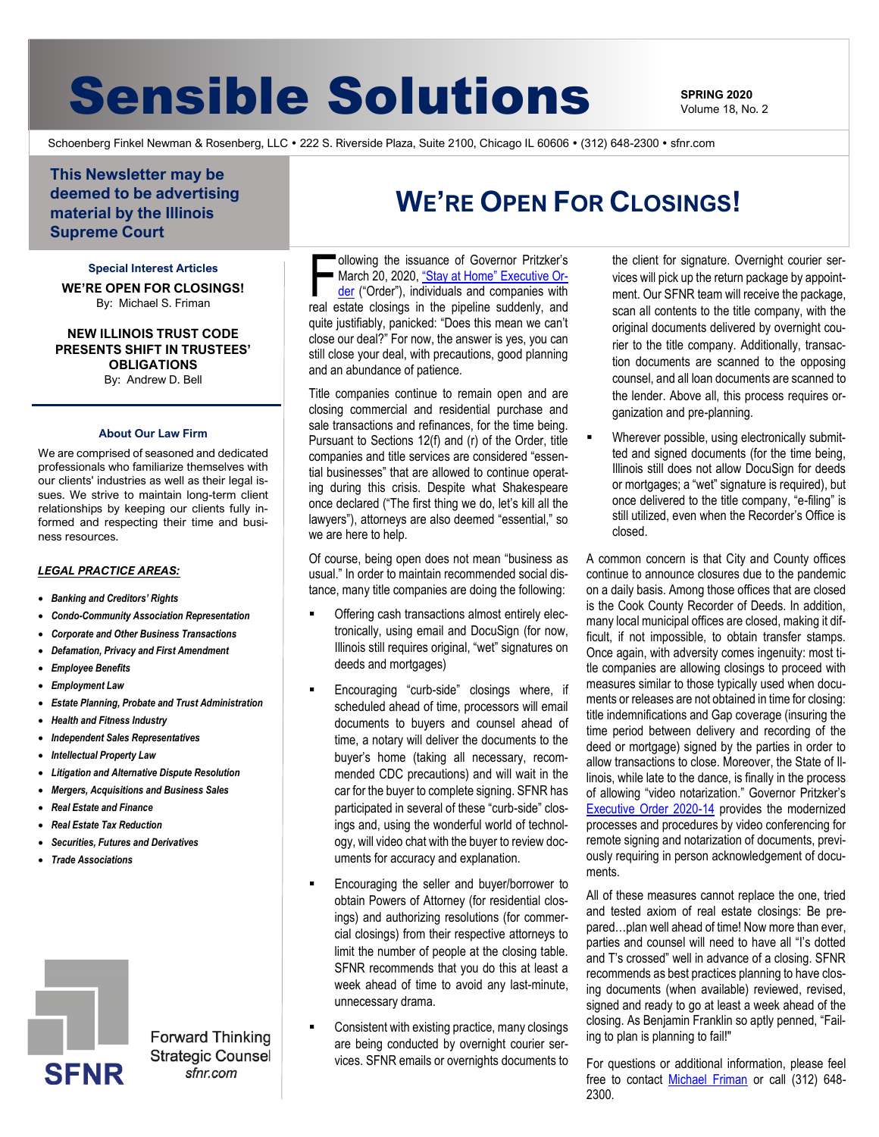# **Sensible Solutions SPRING 2020**

Volume 18, No. 2

Schoenberg Finkel Newman & Rosenberg, LLC . 222 S. Riverside Plaza, Suite 2100, Chicago IL 60606 . (312) 648-2300 . sfnr.com

**This Newsletter may be deemed to be advertising material by the Illinois Supreme Court**

**Special Interest Articles WE'RE OPEN FOR CLOSINGS!** By: Michael S. Friman

**NEW ILLINOIS TRUST CODE PRESENTS SHIFT IN TRUSTEES' OBLIGATIONS** By: Andrew D. Bell

#### **About Our Law Firm**

We are comprised of seasoned and dedicated professionals who familiarize themselves with our clients' industries as well as their legal issues. We strive to maintain long-term client relationships by keeping our clients fully informed and respecting their time and business resources.

#### *LEGAL PRACTICE AREAS:*

- *Banking and Creditors' Rights*
- *Condo-Community Association Representation*
- *Corporate and Other Business Transactions*
- *Defamation, Privacy and First Amendment*
- *Employee Benefits*
- *Employment Law*
- *Estate Planning, Probate and Trust Administration*
- *Health and Fitness Industry*
- *Independent Sales Representatives*
- *Intellectual Property Law*
- *Litigation and Alternative Dispute Resolution*
- *Mergers, Acquisitions and Business Sales*
- *Real Estate and Finance*
- *Real Estate Tax Reduction*
- *Securities, Futures and Derivatives*
- *Trade Associations*



**Forward Thinking Strategic Counsel** sfnr.com

### **WE'RE OPEN FOR CLOSINGS!**

ollowing the issuance of Governor Pritzker's ■ March 20, 2020, ["Stay at Home" Executive Or](https://www2.illinois.gov/Pages/Executive-Orders/ExecutiveOrder2020-10.aspx)[der](https://www2.illinois.gov/Pages/Executive-Orders/ExecutiveOrder2020-10.aspx) ("Order"), individuals and companies with ollowing the issuance of Governor Pritzker's<br>March 20, 2020, "Stay at Home" Executive Or-<br>der ("Order"), individuals and companies with<br>real estate closings in the pipeline suddenly, and quite justifiably, panicked: "Does this mean we can't close our deal?" For now, the answer is yes, you can still close your deal, with precautions, good planning and an abundance of patience.

Title companies continue to remain open and are closing commercial and residential purchase and sale transactions and refinances, for the time being. Pursuant to Sections 12(f) and (r) of the Order, title companies and title services are considered "essential businesses" that are allowed to continue operating during this crisis. Despite what Shakespeare once declared ("The first thing we do, let's kill all the lawyers"), attorneys are also deemed "essential," so we are here to help.

Of course, being open does not mean "business as usual." In order to maintain recommended social distance, many title companies are doing the following:

- Offering cash transactions almost entirely electronically, using email and DocuSign (for now, Illinois still requires original, "wet" signatures on deeds and mortgages)
- Encouraging "curb-side" closings where, if scheduled ahead of time, processors will email documents to buyers and counsel ahead of time, a notary will deliver the documents to the buyer's home (taking all necessary, recommended CDC precautions) and will wait in the car for the buyer to complete signing. SFNR has participated in several of these "curb-side" closings and, using the wonderful world of technology, will video chat with the buyer to review documents for accuracy and explanation.
- Encouraging the seller and buyer/borrower to obtain Powers of Attorney (for residential closings) and authorizing resolutions (for commercial closings) from their respective attorneys to limit the number of people at the closing table. SFNR recommends that you do this at least a week ahead of time to avoid any last-minute, unnecessary drama.
- Consistent with existing practice, many closings are being conducted by overnight courier services. SFNR emails or overnights documents to

the client for signature. Overnight courier services will pick up the return package by appointment. Our SFNR team will receive the package, scan all contents to the title company, with the original documents delivered by overnight courier to the title company. Additionally, transaction documents are scanned to the opposing counsel, and all loan documents are scanned to the lender. Above all, this process requires organization and pre-planning.

Wherever possible, using electronically submitted and signed documents (for the time being, Illinois still does not allow DocuSign for deeds or mortgages; a "wet" signature is required), but once delivered to the title company, "e-filing" is still utilized, even when the Recorder's Office is closed.

A common concern is that City and County offices continue to announce closures due to the pandemic on a daily basis. Among those offices that are closed is the Cook County Recorder of Deeds. In addition, many local municipal offices are closed, making it difficult, if not impossible, to obtain transfer stamps. Once again, with adversity comes ingenuity: most title companies are allowing closings to proceed with measures similar to those typically used when documents or releases are not obtained in time for closing: title indemnifications and Gap coverage (insuring the time period between delivery and recording of the deed or mortgage) signed by the parties in order to allow transactions to close. Moreover, the State of Illinois, while late to the dance, is finally in the process of allowing "video notarization." Governor Pritzker's [Executive Order 2020-14](https://www2.illinois.gov/Pages/Executive-Orders/ExecutiveOrder2020-14.aspx) provides the modernized processes and procedures by video conferencing for remote signing and notarization of documents, previously requiring in person acknowledgement of documents.

All of these measures cannot replace the one, tried and tested axiom of real estate closings: Be prepared…plan well ahead of time! Now more than ever, parties and counsel will need to have all "I's dotted and T's crossed" well in advance of a closing. SFNR recommends as best practices planning to have closing documents (when available) reviewed, revised, signed and ready to go at least a week ahead of the closing. As Benjamin Franklin so aptly penned, "Failing to plan is planning to fail!"

For questions or additional information, please feel free to contact [Michael Friman](mailto:michael.friman@sfnr.com) or call (312) 648- 2300.